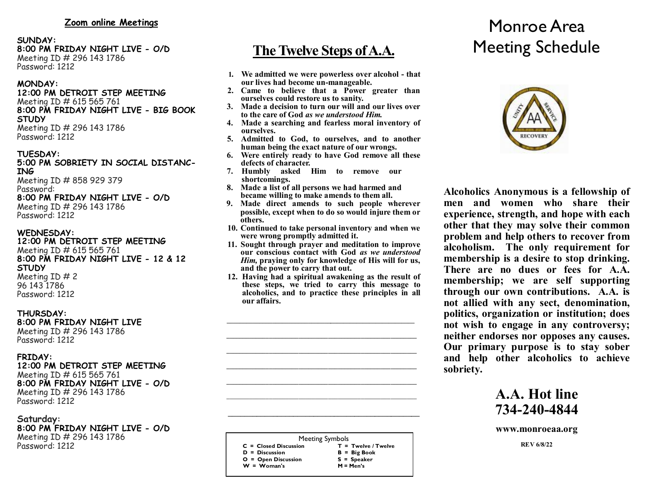#### **SUNDAY: 8:00 PM FRIDAY NIGHT LIVE - O/D** Meeting ID # 296 143 1786 Password: 1212

# **MONDAY:**

## **12:00 PM DETROIT STEP MEETING** Meeting ID # 615 565 761 **8:00 PM FRIDAY NIGHT LIVE - BIG BOOK STUDY** Meeting ID # 296 143 1786

Password: 1212

#### **TUESDAY: 5:00 PM SOBRIETY IN SOCIAL DISTANC-ING**

Meeting ID # 858 929 379 Password: **8:00 PM FRIDAY NIGHT LIVE - O/D** Meeting ID # 296 143 1786 Password: 1212

# **WEDNESDAY:**

#### **12:00 PM DETROIT STEP MEETING** Meeting ID # 615 565 761 **8:00 PM FRIDAY NIGHT LIVE - 12 & 12 STUDY** Meeting ID # 2 96 143 1786 Password: 1212

# **THURSDAY:**

#### **8:00 PM FRIDAY NIGHT LIVE** Meeting ID # 296 143 1786 Password: 1212

# **FRIDAY:**

#### **12:00 PM DETROIT STEP MEETING** Meeting ID # 615 565 761 **8:00 PM FRIDAY NIGHT LIVE - O/D** Meeting ID # 296 143 1786 Password: 1212

#### **Saturday: 8:00 PM FRIDAY NIGHT LIVE - O/D** Meeting ID # 296 143 1786 Password: 1212

# **The Twelve Steps of A.A.**

- **1. We admitted we were powerless over alcohol - that our lives had become un-manageable.**
- **2. Came to believe that a Power greater than ourselves could restore us to sanity.**
- **3. Made a decision to turn our will and our lives over to the care of God** *as we understood Him.*
- **4. Made a searching and fearless moral inventory of ourselves.**
- **5. Admitted to God, to ourselves, and to another human being the exact nature of our wrongs.**
- **6. Were entirely ready to have God remove all these defects of character.**
- **7. Humbly asked Him to remove our shortcomings.**
- **8. Made a list of all persons we had harmed and became willing to make amends to them all.**
- **9. Made direct amends to such people wherever possible, except when to do so would injure them or others.**
- **10. Continued to take personal inventory and when we were wrong promptly admitted it.**
- **11. Sought through prayer and meditation to improve our conscious contact with God** *as we understood Him,* **praying only for knowledge of His will for us, and the power to carry that out.**
- **12. Having had a spiritual awakening as the result of these steps, we tried to carry this message to alcoholics, and to practice these principles in all our affairs.**

 $\mathcal{L} = \{ \mathcal{L} \mathcal{L} \mathcal{L} \mathcal{L} \mathcal{L} \mathcal{L} \mathcal{L} \mathcal{L} \mathcal{L} \mathcal{L} \mathcal{L} \mathcal{L} \mathcal{L} \mathcal{L} \mathcal{L} \mathcal{L} \mathcal{L} \mathcal{L} \mathcal{L} \mathcal{L} \mathcal{L} \mathcal{L} \mathcal{L} \mathcal{L} \mathcal{L} \mathcal{L} \mathcal{L} \mathcal{L} \mathcal{L} \mathcal{L} \mathcal{L} \mathcal{L} \mathcal{L} \mathcal{L} \mathcal{L} \$  $\mathcal{L} = \{ \mathcal{L} \mathcal{L} \mathcal{L} \mathcal{L} \mathcal{L} \mathcal{L} \mathcal{L} \mathcal{L} \mathcal{L} \mathcal{L} \mathcal{L} \mathcal{L} \mathcal{L} \mathcal{L} \mathcal{L} \mathcal{L} \mathcal{L} \mathcal{L} \mathcal{L} \mathcal{L} \mathcal{L} \mathcal{L} \mathcal{L} \mathcal{L} \mathcal{L} \mathcal{L} \mathcal{L} \mathcal{L} \mathcal{L} \mathcal{L} \mathcal{L} \mathcal{L} \mathcal{L} \mathcal{L} \mathcal{L} \$  $\mathcal{L} = \{ \mathcal{L} \mathcal{L} \mathcal{L} \mathcal{L} \mathcal{L} \mathcal{L} \mathcal{L} \mathcal{L} \mathcal{L} \mathcal{L} \mathcal{L} \mathcal{L} \mathcal{L} \mathcal{L} \mathcal{L} \mathcal{L} \mathcal{L} \mathcal{L} \mathcal{L} \mathcal{L} \mathcal{L} \mathcal{L} \mathcal{L} \mathcal{L} \mathcal{L} \mathcal{L} \mathcal{L} \mathcal{L} \mathcal{L} \mathcal{L} \mathcal{L} \mathcal{L} \mathcal{L} \mathcal{L} \mathcal{L} \$  $\mathcal{L} = \{ \mathcal{L} \mathcal{L} \mathcal{L} \mathcal{L} \mathcal{L} \mathcal{L} \mathcal{L} \mathcal{L} \mathcal{L} \mathcal{L} \mathcal{L} \mathcal{L} \mathcal{L} \mathcal{L} \mathcal{L} \mathcal{L} \mathcal{L} \mathcal{L} \mathcal{L} \mathcal{L} \mathcal{L} \mathcal{L} \mathcal{L} \mathcal{L} \mathcal{L} \mathcal{L} \mathcal{L} \mathcal{L} \mathcal{L} \mathcal{L} \mathcal{L} \mathcal{L} \mathcal{L} \mathcal{L} \mathcal{L} \$  $\mathcal{L}_\mathcal{L} = \{ \mathcal{L}_\mathcal{L} = \{ \mathcal{L}_\mathcal{L} \}$ **\_\_\_\_\_\_\_\_\_\_\_\_\_\_\_\_\_\_\_\_\_\_\_\_\_\_\_\_\_\_\_\_\_\_\_\_\_\_\_\_\_\_\_\_\_\_\_\_\_\_\_\_\_\_\_\_\_\_**

Meeting Symbols  **C = Closed Discussion T = Twelve / Twelve D = Discussion B = Big Book O = Open Discussion S = Speaker W = Woman's M = Men's**

\_\_\_\_\_\_\_\_\_\_\_\_\_\_\_\_\_\_\_\_\_\_\_\_\_\_\_\_\_\_\_\_\_\_\_\_\_\_\_\_\_\_\_\_\_\_\_

# Monroe Area Meeting Schedule



**Alcoholics Anonymous is a fellowship of men and women who share their experience, strength, and hope with each other that they may solve their common problem and help others to recover from alcoholism. The only requirement for membership is a desire to stop drinking. There are no dues or fees for A.A. membership; we are self supporting through our own contributions. A.A. is not allied with any sect, denomination, politics, organization or institution; does not wish to engage in any controversy; neither endorses nor opposes any causes. Our primary purpose is to stay sober and help other alcoholics to achieve sobriety.**

# **A.A. Hot line 734-240-4844**

**www.monroeaa.org**

**REV 6/8/22**